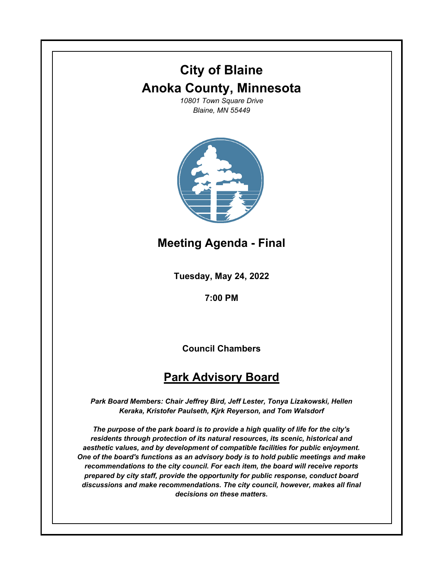## **City of Blaine Anoka County, Minnesota**

*10801 Town Square Drive Blaine, MN 55449*



**Meeting Agenda - Final**

**Tuesday, May 24, 2022**

**7:00 PM**

**Council Chambers**

## **Park Advisory Board**

*Park Board Members: Chair Jeffrey Bird, Jeff Lester, Tonya Lizakowski, Hellen Keraka, Kristofer Paulseth, Kjrk Reyerson, and Tom Walsdorf*

*The purpose of the park board is to provide a high quality of life for the city's residents through protection of its natural resources, its scenic, historical and aesthetic values, and by development of compatible facilities for public enjoyment. One of the board's functions as an advisory body is to hold public meetings and make recommendations to the city council. For each item, the board will receive reports prepared by city staff, provide the opportunity for public response, conduct board discussions and make recommendations. The city council, however, makes all final decisions on these matters.*